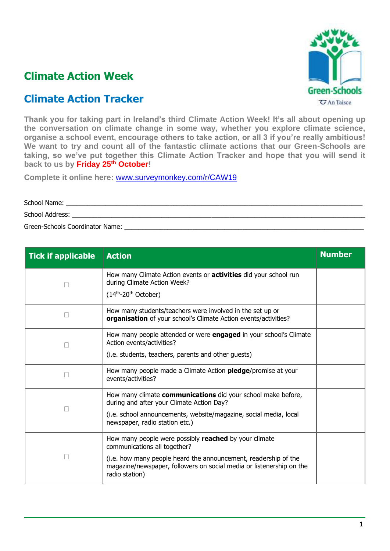

## **Climate Action Week**

## **Climate Action Tracker**

**Thank you for taking part in Ireland's third Climate Action Week! It's all about opening up the conversation on climate change in some way, whether you explore climate science, organise a school event, encourage others to take action, or all 3 if you're really ambitious! We want to try and count all of the fantastic climate actions that our Green-Schools are taking, so we've put together this Climate Action Tracker and hope that you will send it back to us by Friday 25 th October!**

**Complete it online here:** [www.surveymonkey.com/r/CAW19](http://www.surveymonkey.com/r/CAW19)

School Name: School Address: \_\_\_\_\_\_\_\_\_\_\_\_\_\_\_\_\_\_\_\_\_\_\_\_\_\_\_\_\_\_\_\_\_\_\_\_\_\_\_\_\_\_\_\_\_\_\_\_\_\_\_\_\_\_\_\_\_\_\_\_\_\_\_\_\_\_\_\_\_\_\_\_\_\_\_\_\_\_\_\_\_\_ Green-Schools Coordinator Name:

| <b>Tick if applicable</b> | <b>Action</b>                                                                                                                                             | <b>Number</b> |
|---------------------------|-----------------------------------------------------------------------------------------------------------------------------------------------------------|---------------|
|                           | How many Climate Action events or <b>activities</b> did your school run<br>during Climate Action Week?                                                    |               |
|                           | $(14th-20th October)$                                                                                                                                     |               |
|                           | How many students/teachers were involved in the set up or<br>organisation of your school's Climate Action events/activities?                              |               |
|                           | How many people attended or were engaged in your school's Climate<br>Action events/activities?                                                            |               |
|                           | (i.e. students, teachers, parents and other guests)                                                                                                       |               |
|                           | How many people made a Climate Action <b>pledge</b> /promise at your<br>events/activities?                                                                |               |
|                           | How many climate communications did your school make before,<br>during and after your Climate Action Day?                                                 |               |
|                           | (i.e. school announcements, website/magazine, social media, local<br>newspaper, radio station etc.)                                                       |               |
|                           | How many people were possibly reached by your climate<br>communications all together?                                                                     |               |
|                           | (i.e. how many people heard the announcement, readership of the<br>magazine/newspaper, followers on social media or listenership on the<br>radio station) |               |